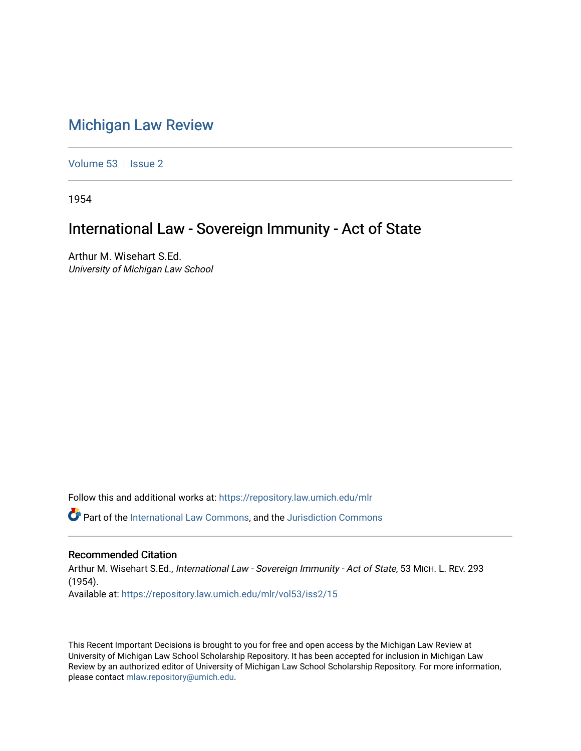## [Michigan Law Review](https://repository.law.umich.edu/mlr)

[Volume 53](https://repository.law.umich.edu/mlr/vol53) | [Issue 2](https://repository.law.umich.edu/mlr/vol53/iss2)

1954

## International Law - Sovereign Immunity - Act of State

Arthur M. Wisehart S.Ed. University of Michigan Law School

Follow this and additional works at: [https://repository.law.umich.edu/mlr](https://repository.law.umich.edu/mlr?utm_source=repository.law.umich.edu%2Fmlr%2Fvol53%2Fiss2%2F15&utm_medium=PDF&utm_campaign=PDFCoverPages) 

Part of the [International Law Commons,](http://network.bepress.com/hgg/discipline/609?utm_source=repository.law.umich.edu%2Fmlr%2Fvol53%2Fiss2%2F15&utm_medium=PDF&utm_campaign=PDFCoverPages) and the [Jurisdiction Commons](http://network.bepress.com/hgg/discipline/850?utm_source=repository.law.umich.edu%2Fmlr%2Fvol53%2Fiss2%2F15&utm_medium=PDF&utm_campaign=PDFCoverPages)

## Recommended Citation

Arthur M. Wisehart S.Ed., International Law - Sovereign Immunity - Act of State, 53 MICH. L. REV. 293 (1954). Available at: [https://repository.law.umich.edu/mlr/vol53/iss2/15](https://repository.law.umich.edu/mlr/vol53/iss2/15?utm_source=repository.law.umich.edu%2Fmlr%2Fvol53%2Fiss2%2F15&utm_medium=PDF&utm_campaign=PDFCoverPages) 

This Recent Important Decisions is brought to you for free and open access by the Michigan Law Review at University of Michigan Law School Scholarship Repository. It has been accepted for inclusion in Michigan Law Review by an authorized editor of University of Michigan Law School Scholarship Repository. For more information, please contact [mlaw.repository@umich.edu.](mailto:mlaw.repository@umich.edu)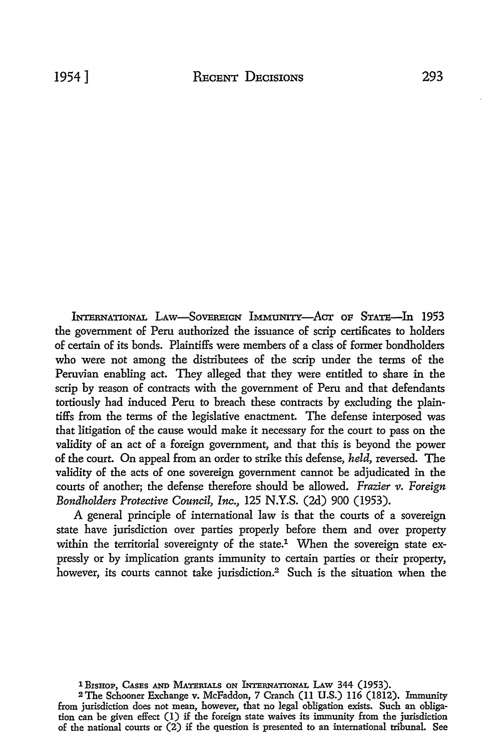INTERNATIONAL LAW-SOVEREIGN IMMUNITY-ACT OF STATE-In 1953 the government of Peru authorized the issuance of scrip certificates to holders of certain of its bonds. Plaintiffs were members of a class of former bondholders who were not among the distributees of the scrip under the terms of the Peruvian enabling act. They alleged that they were entitled to share in the scrip by reason of contracts with the government of Peru and that defendants tortiously had induced Peru to breach these contracts by excluding the plaintiffs from the terms of the legislative enactment. The defense interposed was that litigation of the cause would make it necessary for the court to pass on the validity of an act of a foreign government, and that this is beyond the power of the court. On appeal from an order to strike this defense, *held,* reversed. The validity of the acts of one sovereign government cannot be adjudicated in the courts of another; the defense therefore should be allowed. *Frazier v. Foreign Bondholders Protective Council, Inc.,* 125 **N.Y.S.** (2d) 900 (1953).

A general principle of international law is that the courts of a sovereign state have jurisdiction over parties properly before them and over property within the territorial sovereignty of the state.<sup>1</sup> When the sovereign state expressly or by implication grants immunity to certain parties or their property, however, its courts cannot take jurisdiction.2 Such is the situation when the

1 BISHOP, CASES AND MATERIALS ON INTERNATIONAL LAW 344 (1953).

2The Schooner Exchange v. McFaddon, 7 Cranch (II U.S.) 116 (1812). Immunity from jurisdiction does not mean, however, that no legal obligation exists. Such an obligation can be given effect (1) if the foreign state waives its immunity from the jurisdiction of the national courts or (2) if the question is presented to an international tribunal. See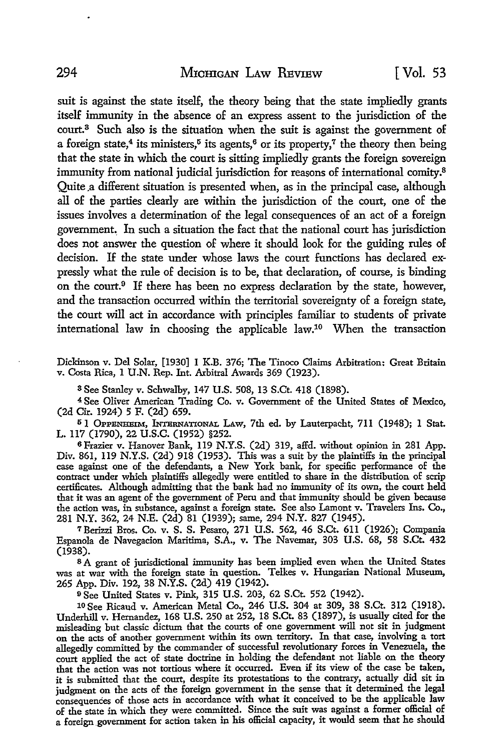suit is against the state itself, the theory being that the state impliedly grants itself immunity in the absence of an express assent to the jurisdiction of the court.<sup>3</sup> Such also is the situation when the suit is against the government of a foreign state,<sup>4</sup> its ministers,<sup> $5$ </sup> its agents,<sup> $6$ </sup> or its property,<sup> $7$ </sup> the theory then being that the state in which the court is sitting impliedly grants the foreign sovereign immunity from national judicial jurisdiction for reasons of international comity.<sup>8</sup> Quite .a different situation is presented when, as in the principal case, although all of the parties clearly are within the jurisdiction of the court, one of the issues involves a determination of the legal consequences of an act of a foreign government. In such a situation the fact that the national court has jurisdiction does not answer the question of where it should look for the guiding rules of decision. If the state under whose laws the court functions has declared expressly what the rule of decision is to be, that declaration, of course, is binding on the court.9 If there has been no express declaration by the state, however, and the transaction occurred within the territorial sovereignty of a foreign state, the court will act in accordance with principles familiar to students of private international law in choosing the applicable law.10 When the transaction

Dickinson v. Del Solar, [1930] l K.B. 376; The Tinoco Claims Arbitration: Great Britain v. Costa Rica, l U.N. Rep. Int. Arbitral Awards 369 (1923).

s See Stanley v. Schwalby, 147 U.S. 508, 13 S.Ct. 418 (1898).

4 See Oliver American Trading Co. v. Government of the United States of Mexico, (2d Cir. 1924) 5 F. (2d) 659.

5 1 OPPENHEIM, INTERNATIONAL LAW, 7th ed. by Lauterpacht, 711 (1948); 1 Stat. L. 117 (1790), 22 u.s.c. (1952) §252.

<sup>6</sup>Frazier v. Hanover Bank, 119 N.Y.S. (2d) 319, affd. without opinion in 281 App. Div. 861, 119 N.Y.S. (2d) 918 (1953). This was a suit by the plaintiffs in the principal case against one of the defendants, a New York bank, for specific performance of the contract under which plaintiffs allegedly were entitled to share in the distribution of scrip certificates. Although admitting that the bank had no immunity of its own, the court held that it was an agent of the government of Peru and that immunity should be given because the action was, in substance, against a foreign state. See also Lamont v. Travelers Ins. Co., 281 N.Y. 362, 24 N.E. (2d) 81 (1939); same, 294 N.Y. 827 (1945).

7Berizzi Bros. Co. v. S. S. Pesaro, 271 U.S. 562, 46 S.Ct. 611 (1926); Compania Espanola de Navegacion Maritima, S.A., v. The Navemar, 303 U.S. 68, 58 S.Ct. 432 (1938).

s A grant of jurisdictional immunity has been implied even when the United States was at war with the foreign state in question. Telkes v. Hungarian National Museum, 265 App. Div. 192, 38 N.Y.S. (2d) 419 (1942).

<sup>9</sup>See United States v. Pink, 315 U.S. 203, 62 S.Ct. 552 (1942).

10 See Ricaud v. American Metal Co., 246 U.S. 304 at 309, 38 S.Ct. 312 (1918). Underhill v. Hernandez, 168 U.S. 250 at 252, 18 S.Ct. 83 (1897), is usually cited for the misleading but classic dictum that the courts of one government will not sit in judgment on the acts of another government within its own territory. In that case, involving a tort allegedly committed by the commander of successful revolutionary forces in Venezuela, the court applied the act of state doctrine in holding the defendant not liable on the theory that the action was not tortious where it occurred. Even if its view of the case be taken, it is submitted that the court, despite its protestations to the contrary, actually did sit in judgment on the acts of the foreign government in the sense that it determined the legal consequences of those acts in accordance with what it conceived to be the applicable law of the state in which they were committed. Since the suit was against a former official of a foreign government for action taken in his official capacity, it would seem that he should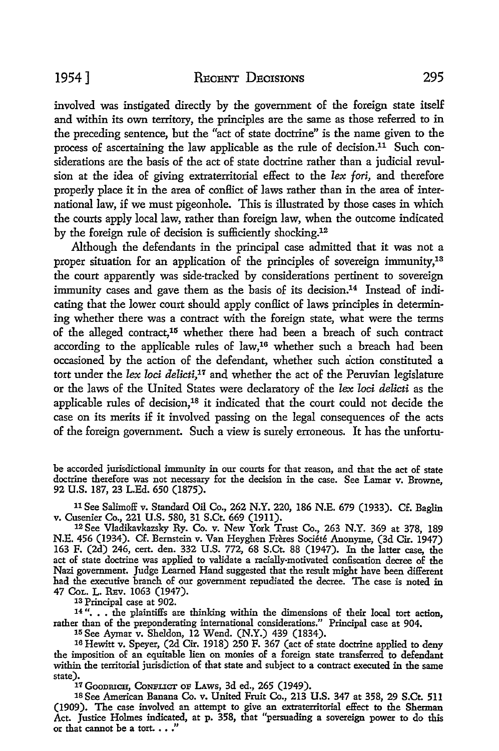involved was instigated directly by the government of the foreign state itself and within its own territory, the principles are the same as those referred to in the preceding sentence, but the "act of state doctrine" is the name given to the process of ascertaining the law applicable as the rule of decision.11 Such considerations are the basis of the act of state doctrine rather than a judicial revulsion at the idea of giving extraterritorial effect to the *lex* fori, and therefore properly place it in the area of conflict of laws rather than in the area of international law, if we must pigeonhole. This is illustrated by those cases in which the courts apply local law, rather than foreign law, when the outcome indicated by the foreign rule of decision is sufficiently shocking.12

Although the defendants in the principal case admitted that it was not a proper situation for an application of the principles of sovereign immunity,13 the court apparently was side-tracked by considerations pertinent to sovereign immunity cases and gave them as the basis of its decision.<sup>14</sup> Instead of indicating that the lower court should apply conflict of laws principles in determining whether there was a contract with the foreign state, what were the terms of the alleged contract, 15 whether there had been a breach of such contract according to the applicable rules of law,16 whether such a breach had been occasioned by the action of the defendant, whether such action constituted a tort under the *lex loci delicti,17* and whether the act of the Peruvian legislature or the laws of the United States were declaratory of the *lex loci delicti* as the applicable rules of decision,18 it indicated that the court could not decide the case on its merits if it involved passing on the legal consequences of the acts of the foreign government. Such a view is surely erroneous. It has the unfortu-

be accorded jurisdictional immunity in our courts for that reason, and that the act of state doctrine therefore was not necessary for the decision in the case. See Lamar v. Browne, 92 U.S. 187, 23 L.Ed. 650 (1875).

11 See Salimoff v. Standard Oil Co., 262 N.Y. 220, 186 N.E. 679 (1933). Cf. Eaglin v. Cusenier Co., 221 U.S. 580, 31 S.Ct. 669 (1911).<br><sup>12</sup> See Vladikavkazsky Ry. Co. v. New York Trust Co., 263 N.Y. 369 at 378, 189

N.E. 456 (1934). Cf. Bernstein v. Van Heyghen Freres Societe Anonyme, (3d Cir. 1947) 163 F. (2d) 246, cert. den. 332 U.S. 772, 68 S.Ct. 88 (1947). In the latter case, the act of state doctrine was applied to validate a racially-motivated confiscation decree of the Nazi government. Judge Learned Hand suggested that the result might have been different had the executive branch of our government repudiated the decree. The case is noted in 47 CoL. L. REv. 1063 (1947).

13 Principal case at 902.

14"... the plaintiffs are thinking within the dimensions of their local tort action, rather than of the preponderating international considerations." Principal case at 904.

111 See Aymar v. Sheldon, 12 Wend. (N.Y.) 439 (1834).

16 Hewitt v. Speyer, (2d Cir. 1918) 250 F. 367 (act of state doctrine applied to deny the imposition of an equitable lien on monies of a foreign state transferred to defendant within the territorial jurisdiction of that state and subject to a contract executed in the same state).

17 GOODRICH, CONFLICT OF LAWS, 3d ed., 265 (1949).

18 See American Banana Co. v. United Fruit Co., 213 U.S. 347 at 358, 29 S.Ct. 511 (1909). The case involved an attempt to give an extraterritorial effect to the Sherman Act. Justice Holmes indicated, at p. 358, that "persuading a sovereign power to do this or that cannot be a tort.  $\ldots$ "